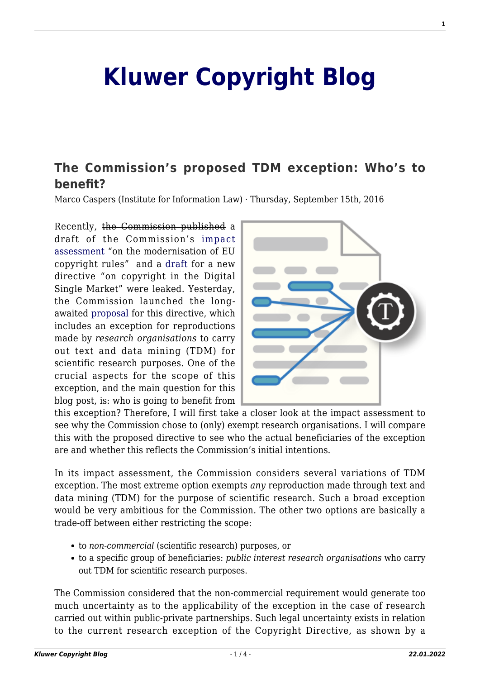## **[Kluwer Copyright Blog](http://copyrightblog.kluweriplaw.com/)**

## **[The Commission's proposed TDM exception: Who's to](http://copyrightblog.kluweriplaw.com/2016/09/15/commissions-proposed-tdm-exception-whos-benefit/) [benefit?](http://copyrightblog.kluweriplaw.com/2016/09/15/commissions-proposed-tdm-exception-whos-benefit/)**

Marco Caspers (Institute for Information Law) · Thursday, September 15th, 2016

Recently, the Commission published a draft of the Commission's [impact](http://statewatch.org/news/2016/aug/eu-com-copyright-draft.pdf) [assessment](http://statewatch.org/news/2016/aug/eu-com-copyright-draft.pdf) "on the modernisation of EU copyright rules" and a [draft](https://drive.google.com/file/d/0B6d07lh0nNGNNjZpcGlsQ3pJN3M/view) for a new directive "on copyright in the Digital Single Market" were leaked. Yesterday, the Commission launched the longawaited [proposal](http://ec.europa.eu/transparency/regdoc/rep/1/2016/EN/1-2016-593-EN-F1-1.PDF) for this directive, which includes an exception for reproductions made by *research organisations* to carry out text and data mining (TDM) for scientific research purposes. One of the crucial aspects for the scope of this exception, and the main question for this blog post, is: who is going to benefit from



this exception? Therefore, I will first take a closer look at the impact assessment to see why the Commission chose to (only) exempt research organisations. I will compare this with the proposed directive to see who the actual beneficiaries of the exception are and whether this reflects the Commission's initial intentions.

In its impact assessment, the Commission considers several variations of TDM exception. The most extreme option exempts *any* reproduction made through text and data mining (TDM) for the purpose of scientific research. Such a broad exception would be very ambitious for the Commission. The other two options are basically a trade-off between either restricting the scope:

- to *non-commercial* (scientific research) purposes, or
- to a specific group of beneficiaries: *public interest research organisations* who carry out TDM for scientific research purposes.

The Commission considered that the non-commercial requirement would generate too much uncertainty as to the applicability of the exception in the case of research carried out within public-private partnerships. Such legal uncertainty exists in relation to the current research exception of the Copyright Directive, as shown by a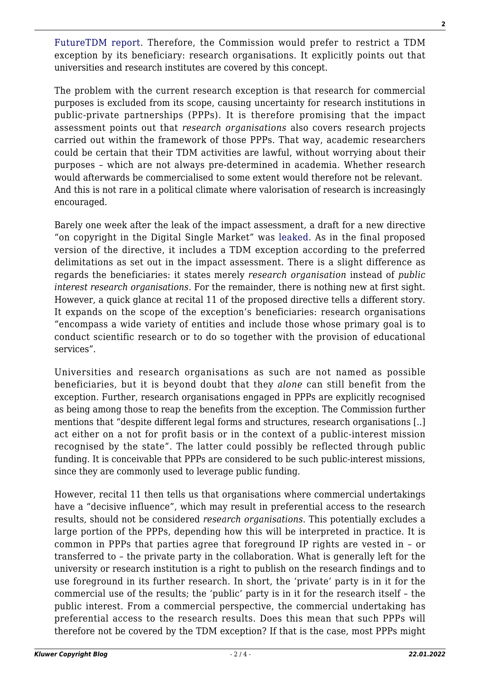[FutureTDM report](http://www.futuretdm.eu/knowledge-library/?b5-file=2374&b5-folder=2227). Therefore, the Commission would prefer to restrict a TDM exception by its beneficiary: research organisations. It explicitly points out that universities and research institutes are covered by this concept.

The problem with the current research exception is that research for commercial purposes is excluded from its scope, causing uncertainty for research institutions in public-private partnerships (PPPs). It is therefore promising that the impact assessment points out that *research organisations* also covers research projects carried out within the framework of those PPPs. That way, academic researchers could be certain that their TDM activities are lawful, without worrying about their purposes – which are not always pre-determined in academia. Whether research would afterwards be commercialised to some extent would therefore not be relevant. And this is not rare in a political climate where valorisation of research is increasingly encouraged.

Barely one week after the leak of the impact assessment, a draft for a new directive "on copyright in the Digital Single Market" was [leaked.](https://drive.google.com/file/d/0B6d07lh0nNGNNjZpcGlsQ3pJN3M/view) As in the final proposed version of the directive, it includes a TDM exception according to the preferred delimitations as set out in the impact assessment. There is a slight difference as regards the beneficiaries: it states merely *research organisation* instead of *public interest research organisations*. For the remainder, there is nothing new at first sight. However, a quick glance at recital 11 of the proposed directive tells a different story. It expands on the scope of the exception's beneficiaries: research organisations "encompass a wide variety of entities and include those whose primary goal is to conduct scientific research or to do so together with the provision of educational services".

Universities and research organisations as such are not named as possible beneficiaries, but it is beyond doubt that they *alone* can still benefit from the exception. Further, research organisations engaged in PPPs are explicitly recognised as being among those to reap the benefits from the exception. The Commission further mentions that "despite different legal forms and structures, research organisations [..] act either on a not for profit basis or in the context of a public-interest mission recognised by the state". The latter could possibly be reflected through public funding. It is conceivable that PPPs are considered to be such public-interest missions, since they are commonly used to leverage public funding.

However, recital 11 then tells us that organisations where commercial undertakings have a "decisive influence", which may result in preferential access to the research results, should not be considered *research organisations*. This potentially excludes a large portion of the PPPs, depending how this will be interpreted in practice. It is common in PPPs that parties agree that foreground IP rights are vested in – or transferred to – the private party in the collaboration. What is generally left for the university or research institution is a right to publish on the research findings and to use foreground in its further research. In short, the 'private' party is in it for the commercial use of the results; the 'public' party is in it for the research itself – the public interest. From a commercial perspective, the commercial undertaking has preferential access to the research results. Does this mean that such PPPs will therefore not be covered by the TDM exception? If that is the case, most PPPs might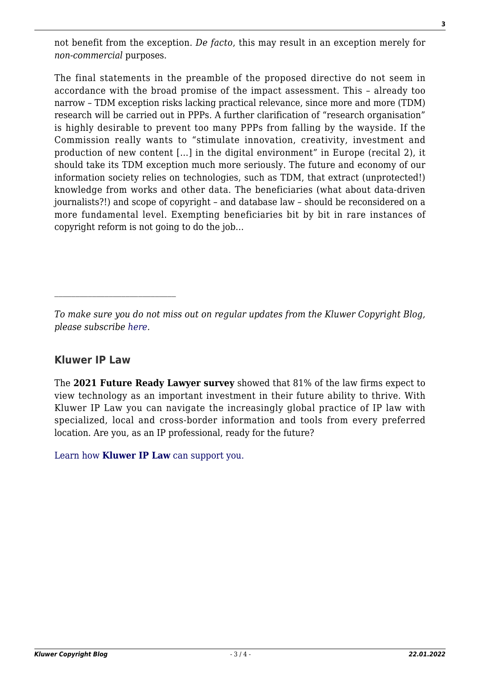not benefit from the exception. *De facto*, this may result in an exception merely for *non-commercial* purposes.

The final statements in the preamble of the proposed directive do not seem in accordance with the broad promise of the impact assessment. This – already too narrow – TDM exception risks lacking practical relevance, since more and more (TDM) research will be carried out in PPPs. A further clarification of "research organisation" is highly desirable to prevent too many PPPs from falling by the wayside. If the Commission really wants to "stimulate innovation, creativity, investment and production of new content […] in the digital environment" in Europe (recital 2), it should take its TDM exception much more seriously. The future and economy of our information society relies on technologies, such as TDM, that extract (unprotected!) knowledge from works and other data. The beneficiaries (what about data-driven journalists?!) and scope of copyright – and database law – should be reconsidered on a more fundamental level. Exempting beneficiaries bit by bit in rare instances of copyright reform is not going to do the job…

## **Kluwer IP Law**

The **2021 Future Ready Lawyer survey** showed that 81% of the law firms expect to view technology as an important investment in their future ability to thrive. With Kluwer IP Law you can navigate the increasingly global practice of IP law with specialized, local and cross-border information and tools from every preferred location. Are you, as an IP professional, ready for the future?

[Learn how](https://www.wolterskluwer.com/en/solutions/kluweriplaw?utm_source=copyrightnblog&utm_medium=articleCTA&utm_campaign=article-banner) **[Kluwer IP Law](https://www.wolterskluwer.com/en/solutions/kluweriplaw?utm_source=copyrightnblog&utm_medium=articleCTA&utm_campaign=article-banner)** [can support you.](https://www.wolterskluwer.com/en/solutions/kluweriplaw?utm_source=copyrightnblog&utm_medium=articleCTA&utm_campaign=article-banner)

*To make sure you do not miss out on regular updates from the Kluwer Copyright Blog, please subscribe [here.](http://copyrightblog.kluweriplaw.com/newsletter)*